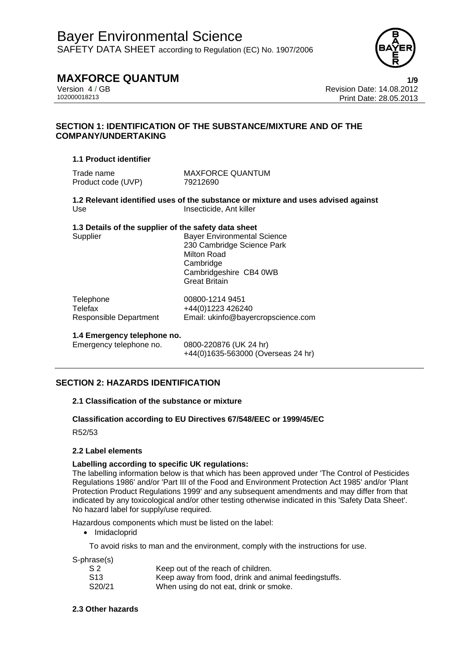

## **MAXFORCE QUANTUM 1/9**

Version 4 / GB<br>102000018213<br>Print Date: 28.05.2013 Print Date: 28.05.2013

## **SECTION 1: IDENTIFICATION OF THE SUBSTANCE/MIXTURE AND OF THE COMPANY/UNDERTAKING**

## **1.1 Product identifier**

Trade name MAXFORCE QUANTUM Product code (UVP) 79212690

**1.2 Relevant identified uses of the substance or mixture and uses advised against**  Use Insecticide, Ant killer

## **1.3 Details of the supplier of the safety data sheet**

Supplier **Bayer Environmental Science** 230 Cambridge Science Park Milton Road **Cambridge** Cambridgeshire CB4 0WB Great Britain

| Telephone              | 00800-1214 9451                    |
|------------------------|------------------------------------|
| Telefax                | +44(0)1223 426240                  |
| Responsible Department | Email: ukinfo@bayercropscience.com |

## **1.4 Emergency telephone no.**

Emergency telephone no. 0800-220876 (UK 24 hr) +44(0)1635-563000 (Overseas 24 hr)

## **SECTION 2: HAZARDS IDENTIFICATION**

## **2.1 Classification of the substance or mixture**

## **Classification according to EU Directives 67/548/EEC or 1999/45/EC**

R52/53

## **2.2 Label elements**

## **Labelling according to specific UK regulations:**

The labelling information below is that which has been approved under 'The Control of Pesticides Regulations 1986' and/or 'Part III of the Food and Environment Protection Act 1985' and/or 'Plant Protection Product Regulations 1999' and any subsequent amendments and may differ from that indicated by any toxicological and/or other testing otherwise indicated in this 'Safety Data Sheet'. No hazard label for supply/use required.

Hazardous components which must be listed on the label:

• Imidacloprid

To avoid risks to man and the environment, comply with the instructions for use.

S-phrase(s)

| S <sub>2</sub>  | Keep out of the reach of children.                   |
|-----------------|------------------------------------------------------|
| S <sub>13</sub> | Keep away from food, drink and animal feedingstuffs. |
| S20/21          | When using do not eat, drink or smoke.               |

## **2.3 Other hazards**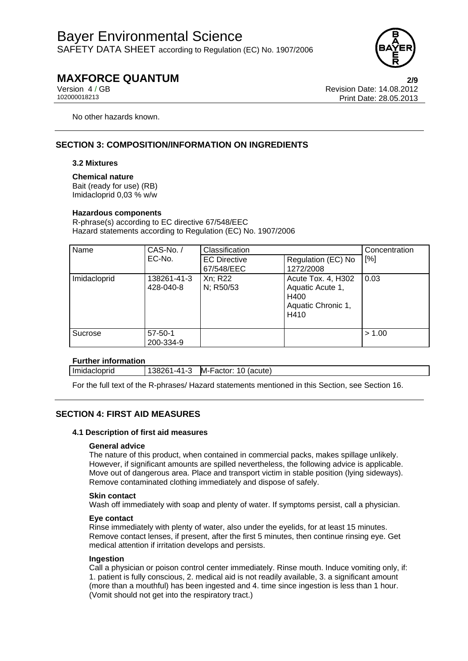

## **MAXFORCE QUANTUM 2/9**

Version 4 / GB Revision Date: 14.08.2012 Print Date: 28.05.2013

No other hazards known.

## **SECTION 3: COMPOSITION/INFORMATION ON INGREDIENTS**

## **3.2 Mixtures**

**Chemical nature**  Bait (ready for use) (RB) Imidacloprid 0,03 % w/w

## **Hazardous components**

R-phrase(s) according to EC directive 67/548/EEC Hazard statements according to Regulation (EC) No. 1907/2006

| Name         | CAS-No./                   | Classification                    |                                                                              | Concentration |
|--------------|----------------------------|-----------------------------------|------------------------------------------------------------------------------|---------------|
|              | EC-No.                     | <b>EC Directive</b><br>67/548/EEC | Regulation (EC) No<br>1272/2008                                              | [%]           |
| Imidacloprid | 138261-41-3<br>428-040-8   | Xn; R22<br>N; R50/53              | Acute Tox. 4, H302<br>Aquatic Acute 1,<br>H400<br>Aquatic Chronic 1,<br>H410 | 0.03          |
| Sucrose      | $57 - 50 - 1$<br>200-334-9 |                                   |                                                                              | > 1.00        |

## **Further information**

Imidacloprid 138261-41-3 M-Factor: 10 (acute)

For the full text of the R-phrases/ Hazard statements mentioned in this Section, see Section 16.

## **SECTION 4: FIRST AID MEASURES**

## **4.1 Description of first aid measures**

## **General advice**

The nature of this product, when contained in commercial packs, makes spillage unlikely. However, if significant amounts are spilled nevertheless, the following advice is applicable. Move out of dangerous area. Place and transport victim in stable position (lying sideways). Remove contaminated clothing immediately and dispose of safely.

## **Skin contact**

Wash off immediately with soap and plenty of water. If symptoms persist, call a physician.

## **Eye contact**

Rinse immediately with plenty of water, also under the eyelids, for at least 15 minutes. Remove contact lenses, if present, after the first 5 minutes, then continue rinsing eye. Get medical attention if irritation develops and persists.

## **Ingestion**

Call a physician or poison control center immediately. Rinse mouth. Induce vomiting only, if: 1. patient is fully conscious, 2. medical aid is not readily available, 3. a significant amount (more than a mouthful) has been ingested and 4. time since ingestion is less than 1 hour. (Vomit should not get into the respiratory tract.)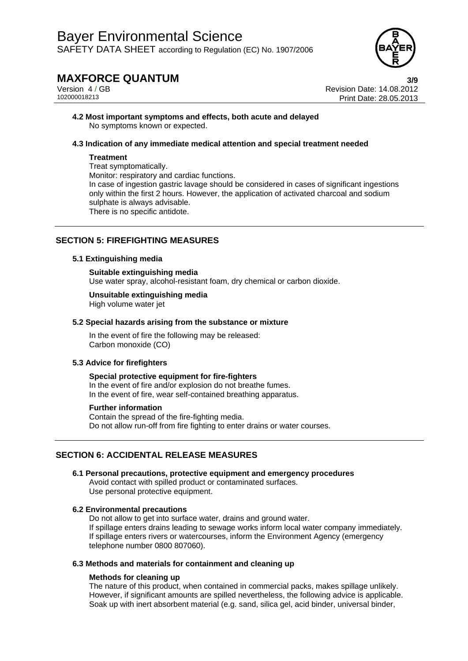

## **MAXFORCE QUANTUM 3/9**

Version 4 / GB<br>102000018213<br>Print Date: 28.05.2013 Print Date: 28.05.2013

**4.2 Most important symptoms and effects, both acute and delayed**  No symptoms known or expected.

## **4.3 Indication of any immediate medical attention and special treatment needed**

## **Treatment**

Treat symptomatically. Monitor: respiratory and cardiac functions. In case of ingestion gastric lavage should be considered in cases of significant ingestions only within the first 2 hours. However, the application of activated charcoal and sodium sulphate is always advisable. There is no specific antidote.

## **SECTION 5: FIREFIGHTING MEASURES**

## **5.1 Extinguishing media**

## **Suitable extinguishing media**

Use water spray, alcohol-resistant foam, dry chemical or carbon dioxide.

## **Unsuitable extinguishing media**

High volume water jet

## **5.2 Special hazards arising from the substance or mixture**

In the event of fire the following may be released: Carbon monoxide (CO)

## **5.3 Advice for firefighters**

**Special protective equipment for fire-fighters**  In the event of fire and/or explosion do not breathe fumes. In the event of fire, wear self-contained breathing apparatus.

## **Further information**

Contain the spread of the fire-fighting media. Do not allow run-off from fire fighting to enter drains or water courses.

## **SECTION 6: ACCIDENTAL RELEASE MEASURES**

## **6.1 Personal precautions, protective equipment and emergency procedures**

Avoid contact with spilled product or contaminated surfaces. Use personal protective equipment.

## **6.2 Environmental precautions**

Do not allow to get into surface water, drains and ground water. If spillage enters drains leading to sewage works inform local water company immediately. If spillage enters rivers or watercourses, inform the Environment Agency (emergency telephone number 0800 807060).

## **6.3 Methods and materials for containment and cleaning up**

## **Methods for cleaning up**

The nature of this product, when contained in commercial packs, makes spillage unlikely. However, if significant amounts are spilled nevertheless, the following advice is applicable. Soak up with inert absorbent material (e.g. sand, silica gel, acid binder, universal binder,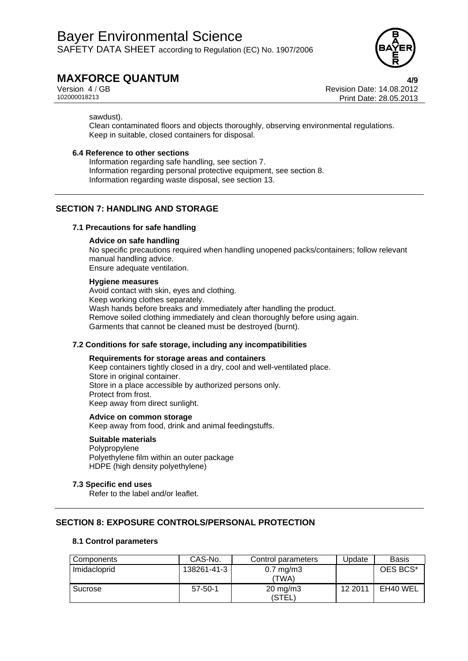

# **MAXFORCE QUANTUM 4/9**

Version 4 / GB Revision Date: 14.08.2012 Print Date: 28.05.2013

sawdust).

Clean contaminated floors and objects thoroughly, observing environmental regulations. Keep in suitable, closed containers for disposal.

## **6.4 Reference to other sections**

Information regarding safe handling, see section 7. Information regarding personal protective equipment, see section 8. Information regarding waste disposal, see section 13.

## **SECTION 7: HANDLING AND STORAGE**

## **7.1 Precautions for safe handling**

## **Advice on safe handling**

No specific precautions required when handling unopened packs/containers; follow relevant manual handling advice. Ensure adequate ventilation.

## **Hygiene measures**

Avoid contact with skin, eyes and clothing. Keep working clothes separately. Wash hands before breaks and immediately after handling the product. Remove soiled clothing immediately and clean thoroughly before using again. Garments that cannot be cleaned must be destroyed (burnt).

## **7.2 Conditions for safe storage, including any incompatibilities**

## **Requirements for storage areas and containers**

Keep containers tightly closed in a dry, cool and well-ventilated place. Store in original container. Store in a place accessible by authorized persons only. Protect from frost. Keep away from direct sunlight.

## **Advice on common storage**

Keep away from food, drink and animal feedingstuffs.

## **Suitable materials**

Polypropylene Polyethylene film within an outer package HDPE (high density polyethylene)

## **7.3 Specific end uses**

Refer to the label and/or leaflet.

## **SECTION 8: EXPOSURE CONTROLS/PERSONAL PROTECTION**

## **8.1 Control parameters**

| Components   | CAS-No.       | Control parameters            | <b>J</b> pdate | <b>Basis</b> |
|--------------|---------------|-------------------------------|----------------|--------------|
| Imidacloprid | 138261-41-3   | $0.7 \text{ mg/m}$ 3<br>(TWA) |                | OES BCS*     |
| Sucrose      | $57 - 50 - 1$ | $20 \text{ mg/m}$ 3<br>(STEL) | 12 2011        | EH40 WEL     |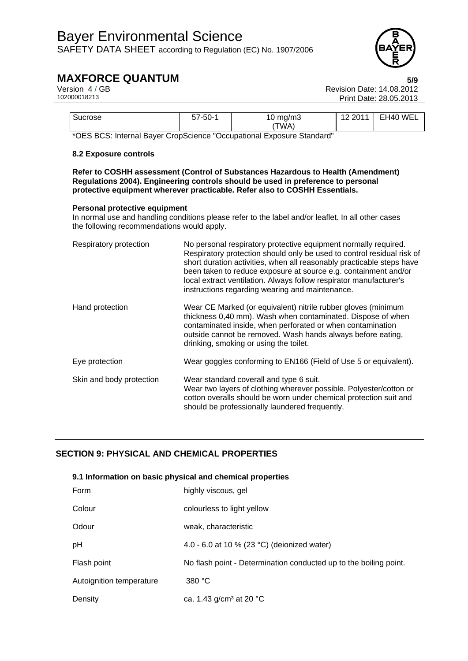

# **MAXFORCE QUANTUM** 5/9<br>Version 4/GB Version 4/GB

| Sucrose                   | -50-<br>ບ ເ      | 10 $mg/m3$<br>TWA,                     | WEL<br>10.0011<br>EH40<br>. .<br><u>_</u><br>∼ |
|---------------------------|------------------|----------------------------------------|------------------------------------------------|
| $\cdots$<br>. .<br>$\sim$ | $\sim$<br>$\sim$ | .<br>$\sim$<br>$\cdot$ $-$<br>$\sim$ . |                                                |

\*OES BCS: Internal Bayer CropScience "Occupational Exposure Standard"

## **8.2 Exposure controls**

**Refer to COSHH assessment (Control of Substances Hazardous to Health (Amendment) Regulations 2004). Engineering controls should be used in preference to personal protective equipment wherever practicable. Refer also to COSHH Essentials.** 

## **Personal protective equipment**

In normal use and handling conditions please refer to the label and/or leaflet. In all other cases the following recommendations would apply.

| Respiratory protection   | No personal respiratory protective equipment normally required.<br>Respiratory protection should only be used to control residual risk of<br>short duration activities, when all reasonably practicable steps have<br>been taken to reduce exposure at source e.g. containment and/or<br>local extract ventilation. Always follow respirator manufacturer's<br>instructions regarding wearing and maintenance. |
|--------------------------|----------------------------------------------------------------------------------------------------------------------------------------------------------------------------------------------------------------------------------------------------------------------------------------------------------------------------------------------------------------------------------------------------------------|
| Hand protection          | Wear CE Marked (or equivalent) nitrile rubber gloves (minimum<br>thickness 0,40 mm). Wash when contaminated. Dispose of when<br>contaminated inside, when perforated or when contamination<br>outside cannot be removed. Wash hands always before eating,<br>drinking, smoking or using the toilet.                                                                                                            |
| Eye protection           | Wear goggles conforming to EN166 (Field of Use 5 or equivalent).                                                                                                                                                                                                                                                                                                                                               |
| Skin and body protection | Wear standard coverall and type 6 suit.<br>Wear two layers of clothing wherever possible. Polyester/cotton or<br>cotton overalls should be worn under chemical protection suit and<br>should be professionally laundered frequently.                                                                                                                                                                           |

## **SECTION 9: PHYSICAL AND CHEMICAL PROPERTIES**

## **9.1 Information on basic physical and chemical properties**

| Form                     | highly viscous, gel                                               |
|--------------------------|-------------------------------------------------------------------|
| Colour                   | colourless to light yellow                                        |
| Odour                    | weak, characteristic                                              |
| pH                       | 4.0 - 6.0 at 10 % (23 °C) (deionized water)                       |
| Flash point              | No flash point - Determination conducted up to the boiling point. |
| Autoignition temperature | 380 °C                                                            |
| Density                  | ca. 1.43 $g/cm3$ at 20 °C                                         |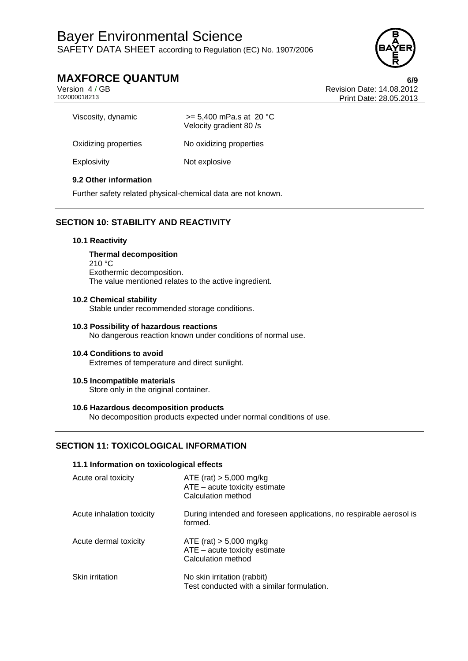

# **MAXFORCE QUANTUM** 6/9<br>Version 4/GB Version 4/GB

Version 4 / GB Revision Date: 14.08.2012 Print Date: 28.05.2013

| Viscosity, dynamic   | $>= 5,400$ mPa.s at 20 °C<br>Velocity gradient 80 /s |
|----------------------|------------------------------------------------------|
| Oxidizing properties | No oxidizing properties                              |
| Explosivity          | Not explosive                                        |

## **9.2 Other information**

Further safety related physical-chemical data are not known.

## **SECTION 10: STABILITY AND REACTIVITY**

## **10.1 Reactivity**

**Thermal decomposition**  210 °C Exothermic decomposition. The value mentioned relates to the active ingredient.

## **10.2 Chemical stability**

Stable under recommended storage conditions.

## **10.3 Possibility of hazardous reactions**  No dangerous reaction known under conditions of normal use.

## **10.4 Conditions to avoid**  Extremes of temperature and direct sunlight.

**10.5 Incompatible materials** 

Store only in the original container.

## **10.6 Hazardous decomposition products**

No decomposition products expected under normal conditions of use.

## **SECTION 11: TOXICOLOGICAL INFORMATION**

## **11.1 Information on toxicological effects**

| Acute oral toxicity       | $ATE$ (rat) $> 5,000$ mg/kg<br>$ATE - acute$ toxicity estimate<br>Calculation method |
|---------------------------|--------------------------------------------------------------------------------------|
| Acute inhalation toxicity | During intended and foreseen applications, no respirable aerosol is<br>formed.       |
| Acute dermal toxicity     | ATE (rat) $> 5,000$ mg/kg<br>$ATE - acute$ toxicity estimate<br>Calculation method   |
| Skin irritation           | No skin irritation (rabbit)<br>Test conducted with a similar formulation.            |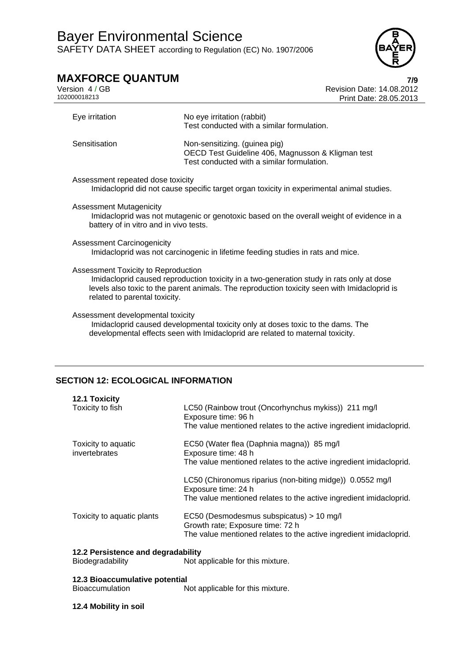

# **MAXFORCE QUANTUM**<br>Version 4/GB<br>Revision Date: 14.08.2012

Version 4 / GB<br>102000018213<br>Print Date: 28 05 2013 Print Date: 28.05.2013

| Eye irritation                                                                                                                                                                                                                                                          | No eye irritation (rabbit)<br>Test conducted with a similar formulation.                                                                                          |
|-------------------------------------------------------------------------------------------------------------------------------------------------------------------------------------------------------------------------------------------------------------------------|-------------------------------------------------------------------------------------------------------------------------------------------------------------------|
| Sensitisation                                                                                                                                                                                                                                                           | Non-sensitizing. (guinea pig)<br>OECD Test Guideline 406, Magnusson & Kligman test<br>Test conducted with a similar formulation.                                  |
| Assessment repeated dose toxicity                                                                                                                                                                                                                                       | Imidacloprid did not cause specific target organ toxicity in experimental animal studies.                                                                         |
| <b>Assessment Mutagenicity</b><br>battery of in vitro and in vivo tests.                                                                                                                                                                                                | Imidacloprid was not mutagenic or genotoxic based on the overall weight of evidence in a                                                                          |
| <b>Assessment Carcinogenicity</b>                                                                                                                                                                                                                                       | Imidacloprid was not carcinogenic in lifetime feeding studies in rats and mice.                                                                                   |
| <b>Assessment Toxicity to Reproduction</b><br>Imidacloprid caused reproduction toxicity in a two-generation study in rats only at dose<br>levels also toxic to the parent animals. The reproduction toxicity seen with Imidacloprid is<br>related to parental toxicity. |                                                                                                                                                                   |
| Assessment developmental toxicity                                                                                                                                                                                                                                       | Imidacloprid caused developmental toxicity only at doses toxic to the dams. The<br>developmental effects seen with Imidacloprid are related to maternal toxicity. |

## **SECTION 12: ECOLOGICAL INFORMATION**

| <b>12.1 Toxicity</b>       |                                                                                  |
|----------------------------|----------------------------------------------------------------------------------|
| Toxicity to fish           | LC50 (Rainbow trout (Oncorhynchus mykiss)) 211 mg/l<br>Exposure time: 96 h       |
|                            | The value mentioned relates to the active ingredient imidacloprid.               |
| Toxicity to aquatic        | EC50 (Water flea (Daphnia magna)) 85 mg/l                                        |
| invertebrates              | Exposure time: 48 h                                                              |
|                            | The value mentioned relates to the active ingredient imidacloprid.               |
|                            | LC50 (Chironomus riparius (non-biting midge)) 0.0552 mg/l<br>Exposure time: 24 h |
|                            | The value mentioned relates to the active ingredient imidacloprid.               |
| Toxicity to aquatic plants | EC50 (Desmodesmus subspicatus) > 10 mg/l                                         |
|                            | Growth rate; Exposure time: 72 h                                                 |
|                            | The value mentioned relates to the active ingredient imidacloprid.               |

# **12.2 Persistence and degradability**

Not applicable for this mixture.

**12.3 Bioaccumulative potential**  Not applicable for this mixture.

## **12.4 Mobility in soil**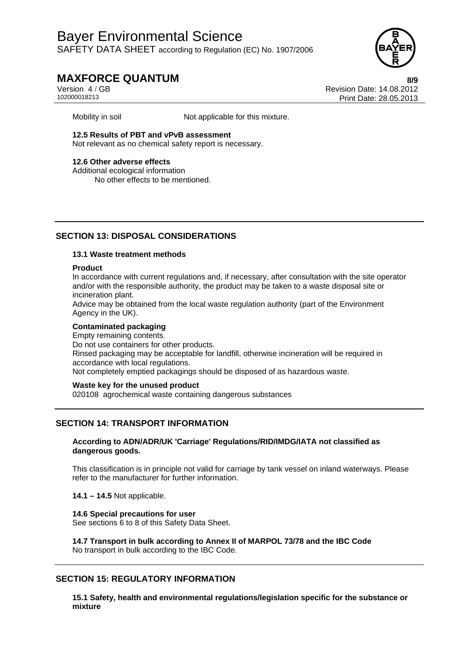

# **MAXFORCE QUANTUM 8/9**

Version 4 / GB Revision Date: 14.08.2012 Print Date: 28.05.2013

Mobility in soil Mot applicable for this mixture.

**12.5 Results of PBT and vPvB assessment** 

Not relevant as no chemical safety report is necessary.

## **12.6 Other adverse effects**

Additional ecological information No other effects to be mentioned.

## **SECTION 13: DISPOSAL CONSIDERATIONS**

## **13.1 Waste treatment methods**

## **Product**

In accordance with current regulations and, if necessary, after consultation with the site operator and/or with the responsible authority, the product may be taken to a waste disposal site or incineration plant.

Advice may be obtained from the local waste regulation authority (part of the Environment Agency in the UK).

## **Contaminated packaging**

Empty remaining contents. Do not use containers for other products. Rinsed packaging may be acceptable for landfill, otherwise incineration will be required in accordance with local regulations. Not completely emptied packagings should be disposed of as hazardous waste.

## **Waste key for the unused product**

020108 agrochemical waste containing dangerous substances

## **SECTION 14: TRANSPORT INFORMATION**

## **According to ADN/ADR/UK 'Carriage' Regulations/RID/IMDG/IATA not classified as dangerous goods.**

This classification is in principle not valid for carriage by tank vessel on inland waterways. Please refer to the manufacturer for further information.

**14.1 – 14.5** Not applicable.

## **14.6 Special precautions for user**

See sections 6 to 8 of this Safety Data Sheet.

**14.7 Transport in bulk according to Annex II of MARPOL 73/78 and the IBC Code**  No transport in bulk according to the IBC Code.

## **SECTION 15: REGULATORY INFORMATION**

**15.1 Safety, health and environmental regulations/legislation specific for the substance or mixture**